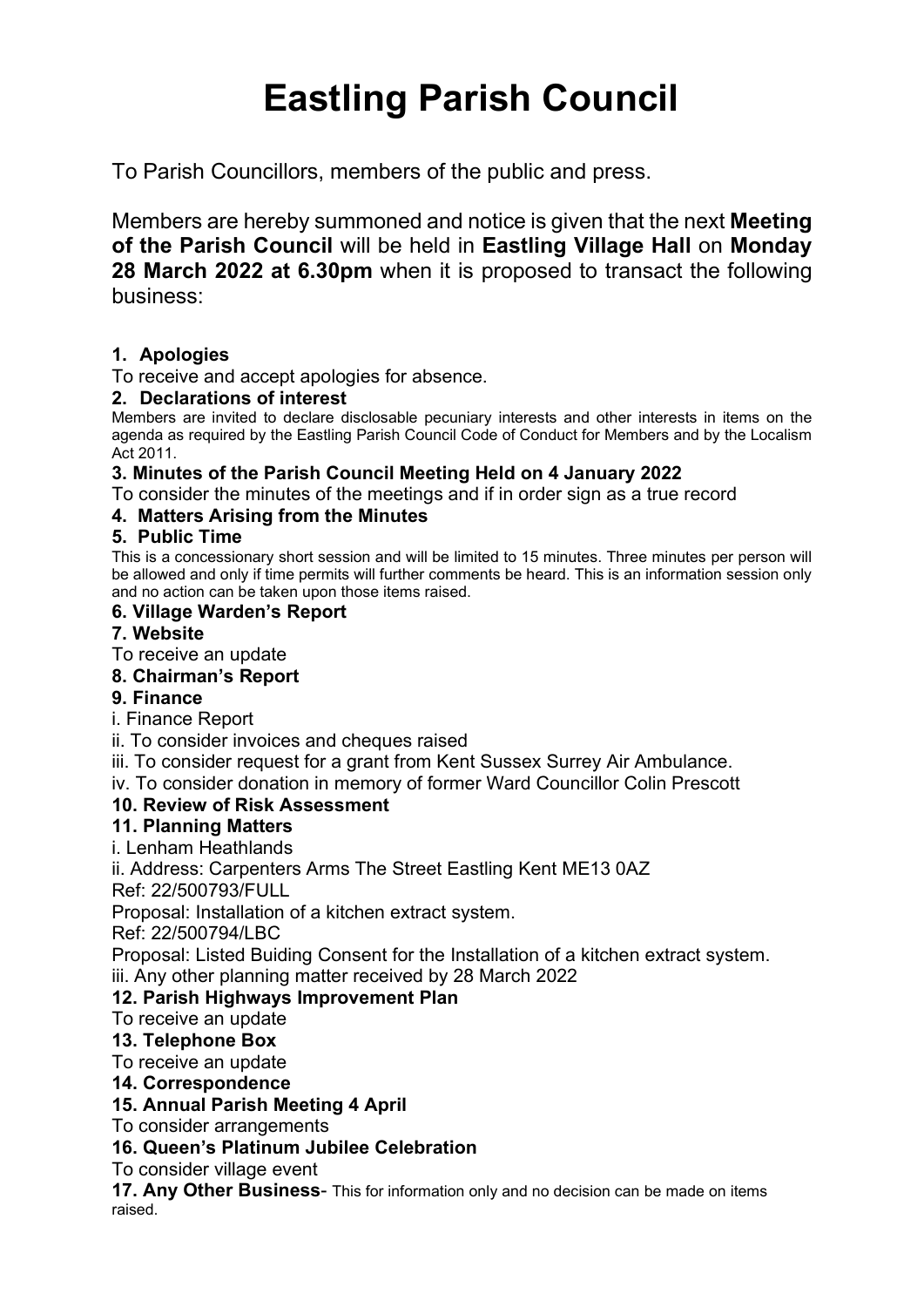# Eastling Parish Council

To Parish Councillors, members of the public and press.

Members are hereby summoned and notice is given that the next Meeting of the Parish Council will be held in Eastling Village Hall on Monday 28 March 2022 at 6.30pm when it is proposed to transact the following business:

# 1. Apologies

To receive and accept apologies for absence.

#### 2. Declarations of interest

Members are invited to declare disclosable pecuniary interests and other interests in items on the agenda as required by the Eastling Parish Council Code of Conduct for Members and by the Localism Act 2011.

## 3. Minutes of the Parish Council Meeting Held on 4 January 2022

To consider the minutes of the meetings and if in order sign as a true record

## 4. Matters Arising from the Minutes

#### 5. Public Time

This is a concessionary short session and will be limited to 15 minutes. Three minutes per person will be allowed and only if time permits will further comments be heard. This is an information session only and no action can be taken upon those items raised.

#### 6. Village Warden's Report

#### 7. Website

To receive an update

## 8. Chairman's Report

9. Finance

i. Finance Report

- ii. To consider invoices and cheques raised
- iii. To consider request for a grant from Kent Sussex Surrey Air Ambulance.
- iv. To consider donation in memory of former Ward Councillor Colin Prescott

## 10. Review of Risk Assessment

## 11. Planning Matters

i. Lenham Heathlands

ii. Address: Carpenters Arms The Street Eastling Kent ME13 0AZ

Ref: 22/500793/FULL

Proposal: Installation of a kitchen extract system.

Ref: 22/500794/LBC

Proposal: Listed Buiding Consent for the Installation of a kitchen extract system. iii. Any other planning matter received by 28 March 2022

## 12. Parish Highways Improvement Plan

To receive an update

## 13. Telephone Box

To receive an update

#### 14. Correspondence

#### 15. Annual Parish Meeting 4 April

To consider arrangements

## 16. Queen's Platinum Jubilee Celebration

To consider village event

17. Any Other Business- This for information only and no decision can be made on items raised.